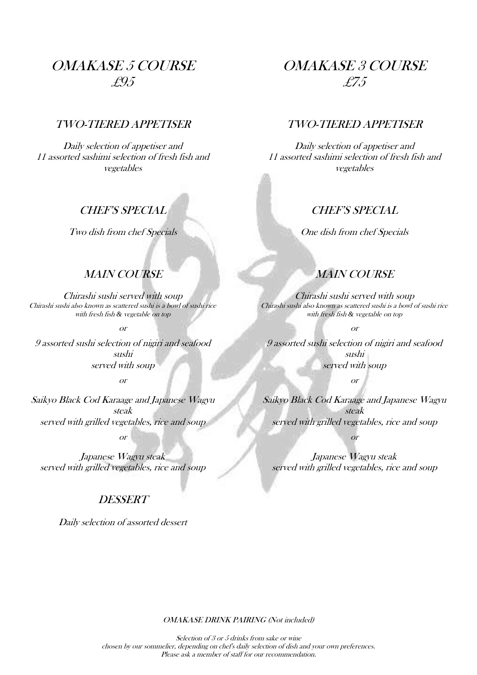# OMAKASE 5 COURSE £95

# TWO-TIERED APPETISER

Daily selection of appetiser and 11 assorted sashimi selection of fresh fish and vegetables

#### CHEF'S SPECIAL

Two dish from chef Specials

# MAIN COURSE

Chirashi sushi served with soup Chirashi sushi also known as scattered sushi is a bowl of sushi rice with fresh fish *&* vegetable on top

or

9 assorted sushi selection of nigiri and seafood sushi served with soup

or

Saikyo Black Cod Karaage and Japanese Wagyu steak served with grilled vegetables, rice and soup or

Japanese Wagyu steak served with grilled vegetables, rice and soup

#### **DESSERT**

Daily selection of assorted dessert

# OMAKASE 3 COURSE £75

#### TWO-TIERED APPETISER

Daily selection of appetiser and 11 assorted sashimi selection of fresh fish and vegetables

# CHEF'S SPECIAL

One dish from chef Specials

# MAIN COURSE

Chirashi sushi served with soup Chirashi sushi also known as scattered sushi is a bowl of sushi rice with fresh fish *&* vegetable on top

or

9 assorted sushi selection of nigiri and seafood sushi served with soup

or

Saikyo Black Cod Karaage and Japanese Wagyu steak served with grilled vegetables, rice and soup

or

Japanese Wagyu steak served with grilled vegetables, rice and soup

OMAKASE DRINK PAIRING (Not included)